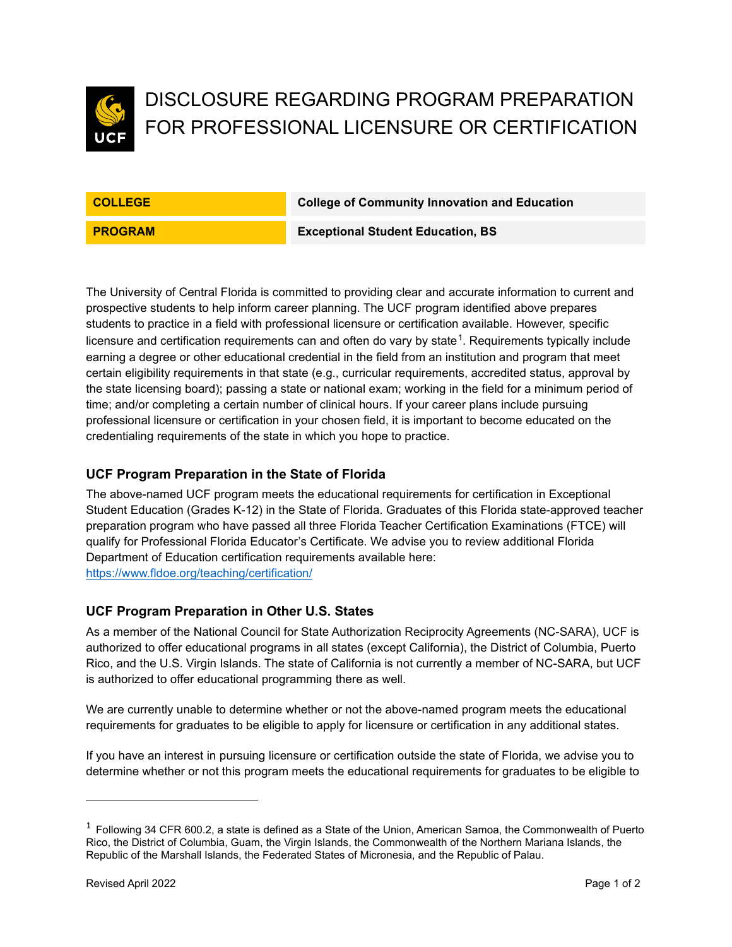

# DISCLOSURE REGARDING PROGRAM PREPARATION FOR PROFESSIONAL LICENSURE OR CERTIFICATION

**COLLEGE College of Community Innovation and Education**

**PROGRAM Exceptional Student Education, BS**

The University of Central Florida is committed to providing clear and accurate information to current and prospective students to help inform career planning. The UCF program identified above prepares students to practice in a field with professional licensure or certification available. However, specific licensure and certification requirements can and often do vary by state $^1$  $^1$ . Requirements typically include earning a degree or other educational credential in the field from an institution and program that meet certain eligibility requirements in that state (e.g., curricular requirements, accredited status, approval by the state licensing board); passing a state or national exam; working in the field for a minimum period of time; and/or completing a certain number of clinical hours. If your career plans include pursuing professional licensure or certification in your chosen field, it is important to become educated on the credentialing requirements of the state in which you hope to practice.

## **UCF Program Preparation in the State of Florida**

The above-named UCF program meets the educational requirements for certification in Exceptional Student Education (Grades K-12) in the State of Florida. Graduates of this Florida state-approved teacher preparation program who have passed all three Florida Teacher Certification Examinations (FTCE) will qualify for Professional Florida Educator's Certificate. We advise you to review additional Florida Department of Education certification requirements available here: <https://www.fldoe.org/teaching/certification/>

#### **UCF Program Preparation in Other U.S. States**

As a member of the National Council for State Authorization Reciprocity Agreements (NC-SARA), UCF is authorized to offer educational programs in all states (except California), the District of Columbia, Puerto Rico, and the U.S. Virgin Islands. The state of California is not currently a member of NC-SARA, but UCF is authorized to offer educational programming there as well.

We are currently unable to determine whether or not the above-named program meets the educational requirements for graduates to be eligible to apply for licensure or certification in any additional states.

If you have an interest in pursuing licensure or certification outside the state of Florida, we advise you to determine whether or not this program meets the educational requirements for graduates to be eligible to

<span id="page-0-0"></span> $1$  Following 34 CFR 600.2, a state is defined as a State of the Union, American Samoa, the Commonwealth of Puerto Rico, the District of Columbia, Guam, the Virgin Islands, the Commonwealth of the Northern Mariana Islands, the Republic of the Marshall Islands, the Federated States of Micronesia, and the Republic of Palau.